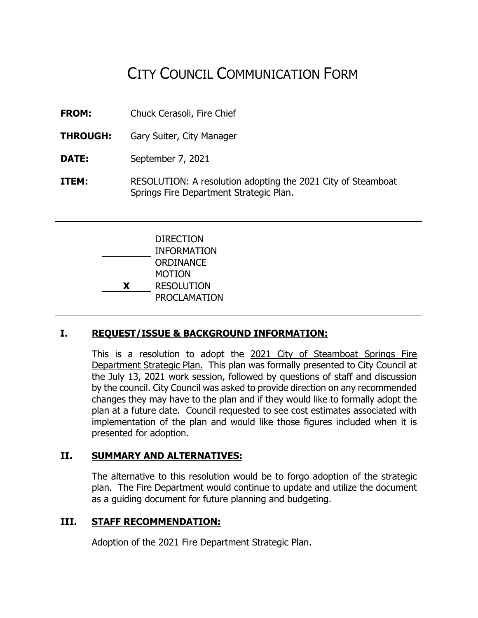# CITY COUNCIL COMMUNICATION FORM

**FROM:** Chuck Cerasoli, Fire Chief

- **THROUGH:** Gary Suiter, City Manager
- **DATE:** September 7, 2021
- **ITEM:** RESOLUTION: A resolution adopting the 2021 City of Steamboat Springs Fire Department Strategic Plan.

| <b>DIRECTION</b>    |
|---------------------|
| <b>INFORMATION</b>  |
| ORDINANCE           |
| <b>MOTION</b>       |
| <b>RESOLUTION</b>   |
| <b>PROCLAMATION</b> |
|                     |

## **I. REQUEST/ISSUE & BACKGROUND INFORMATION:**

This is a resolution to adopt the 2021 City of Steamboat Springs Fire Department Strategic Plan. This plan was formally presented to City Council at the July 13, 2021 work session, followed by questions of staff and discussion by the council. City Council was asked to provide direction on any recommended changes they may have to the plan and if they would like to formally adopt the plan at a future date. Council requested to see cost estimates associated with implementation of the plan and would like those figures included when it is presented for adoption.

## **II. SUMMARY AND ALTERNATIVES:**

The alternative to this resolution would be to forgo adoption of the strategic plan. The Fire Department would continue to update and utilize the document as a guiding document for future planning and budgeting.

#### **III. STAFF RECOMMENDATION:**

Adoption of the 2021 Fire Department Strategic Plan.